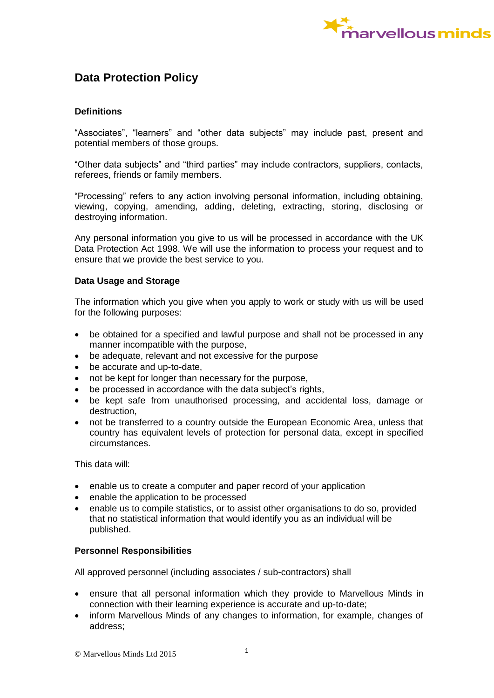

# **Data Protection Policy**

# **Definitions**

"Associates", "learners" and "other data subjects" may include past, present and potential members of those groups.

"Other data subjects" and "third parties" may include contractors, suppliers, contacts, referees, friends or family members.

"Processing" refers to any action involving personal information, including obtaining, viewing, copying, amending, adding, deleting, extracting, storing, disclosing or destroying information.

Any personal information you give to us will be processed in accordance with the UK Data Protection Act 1998. We will use the information to process your request and to ensure that we provide the best service to you.

## **Data Usage and Storage**

The information which you give when you apply to work or study with us will be used for the following purposes:

- be obtained for a specified and lawful purpose and shall not be processed in any manner incompatible with the purpose,
- be adequate, relevant and not excessive for the purpose
- be accurate and up-to-date,
- not be kept for longer than necessary for the purpose,
- be processed in accordance with the data subject's rights,
- be kept safe from unauthorised processing, and accidental loss, damage or destruction,
- not be transferred to a country outside the European Economic Area, unless that country has equivalent levels of protection for personal data, except in specified circumstances.

This data will:

- enable us to create a computer and paper record of your application
- enable the application to be processed
- enable us to compile statistics, or to assist other organisations to do so, provided that no statistical information that would identify you as an individual will be published.

## **Personnel Responsibilities**

All approved personnel (including associates / sub-contractors) shall

- ensure that all personal information which they provide to Marvellous Minds in connection with their learning experience is accurate and up-to-date;
- inform Marvellous Minds of any changes to information, for example, changes of address;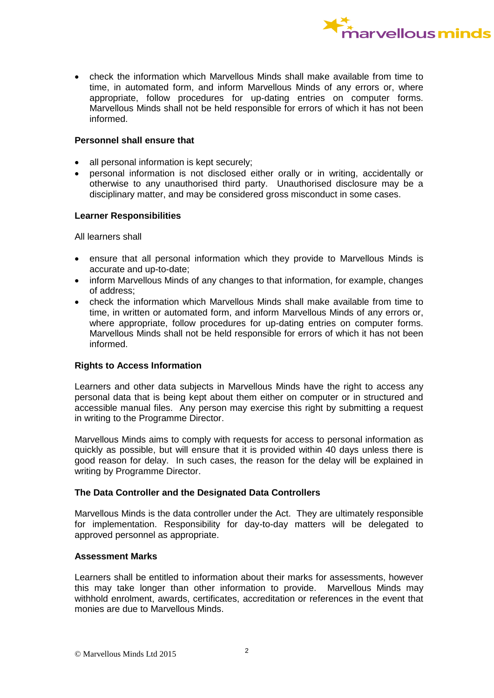

 check the information which Marvellous Minds shall make available from time to time, in automated form, and inform Marvellous Minds of any errors or, where appropriate, follow procedures for up-dating entries on computer forms. Marvellous Minds shall not be held responsible for errors of which it has not been informed.

## **Personnel shall ensure that**

- all personal information is kept securely;
- personal information is not disclosed either orally or in writing, accidentally or otherwise to any unauthorised third party. Unauthorised disclosure may be a disciplinary matter, and may be considered gross misconduct in some cases.

## **Learner Responsibilities**

All learners shall

- ensure that all personal information which they provide to Marvellous Minds is accurate and up-to-date;
- inform Marvellous Minds of any changes to that information, for example, changes of address;
- check the information which Marvellous Minds shall make available from time to time, in written or automated form, and inform Marvellous Minds of any errors or, where appropriate, follow procedures for up-dating entries on computer forms. Marvellous Minds shall not be held responsible for errors of which it has not been informed.

# **Rights to Access Information**

Learners and other data subjects in Marvellous Minds have the right to access any personal data that is being kept about them either on computer or in structured and accessible manual files. Any person may exercise this right by submitting a request in writing to the Programme Director.

Marvellous Minds aims to comply with requests for access to personal information as quickly as possible, but will ensure that it is provided within 40 days unless there is good reason for delay. In such cases, the reason for the delay will be explained in writing by Programme Director.

## **The Data Controller and the Designated Data Controllers**

Marvellous Minds is the data controller under the Act. They are ultimately responsible for implementation. Responsibility for day-to-day matters will be delegated to approved personnel as appropriate.

## **Assessment Marks**

Learners shall be entitled to information about their marks for assessments, however this may take longer than other information to provide. Marvellous Minds may withhold enrolment, awards, certificates, accreditation or references in the event that monies are due to Marvellous Minds.